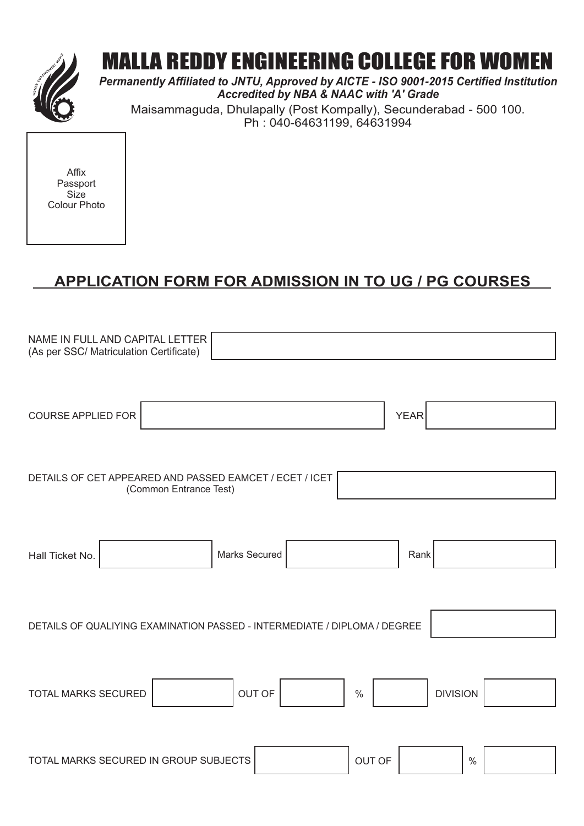

# MALLA REDDY ENGINEERING COLLEGE FOR WOMEN

*Permanently Affiliated to JNTU, Approved by AICTE - ISO 9001-2015 Certified Institution Accredited by NBA & NAAC with 'A' Grade* Maisammaguda, Dhulapally (Post Kompally), Secunderabad - 500 100. Ph : 040-64631199, 64631994

Affix Passport **Size** Colour Photo

# **APPLICATION FORM FOR ADMISSION IN TO UG / PG COURSES**

| NAME IN FULL AND CAPITAL LETTER<br>(As per SSC/ Matriculation Certificate)        |                 |
|-----------------------------------------------------------------------------------|-----------------|
|                                                                                   |                 |
| <b>COURSE APPLIED FOR</b>                                                         | <b>YEAR</b>     |
|                                                                                   |                 |
| DETAILS OF CET APPEARED AND PASSED EAMCET / ECET / ICET<br>(Common Entrance Test) |                 |
|                                                                                   |                 |
| Marks Secured<br>Hall Ticket No.                                                  | Rank            |
|                                                                                   |                 |
| DETAILS OF QUALIYING EXAMINATION PASSED - INTERMEDIATE / DIPLOMA / DEGREE         |                 |
|                                                                                   |                 |
| OUT OF<br>$\%$<br><b>TOTAL MARKS SECURED</b>                                      | <b>DIVISION</b> |
|                                                                                   |                 |
| <b>OUT OF</b><br>TOTAL MARKS SECURED IN GROUP SUBJECTS                            | $\%$            |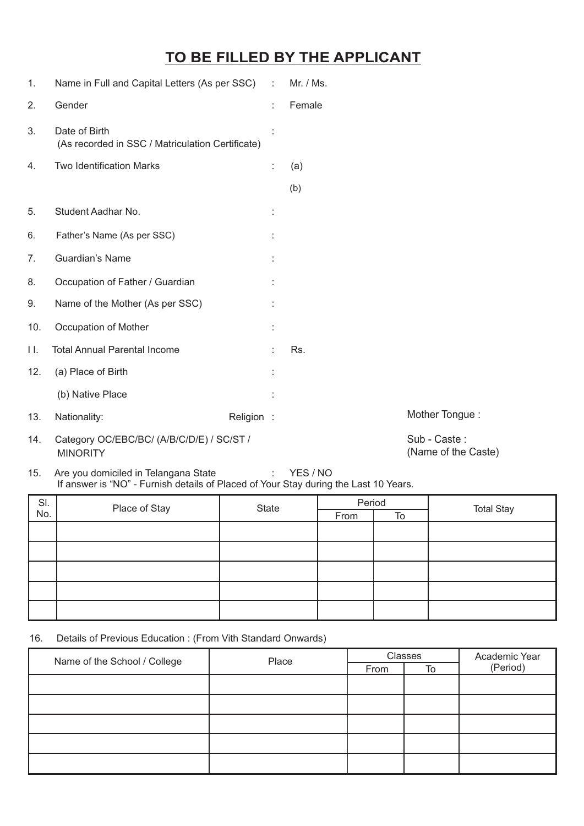### **TO BE FILLED BY THE APPLICANT**

| 1.  | Name in Full and Capital Letters (As per SSC) :                   |            | Mr. / Ms. |                |  |
|-----|-------------------------------------------------------------------|------------|-----------|----------------|--|
| 2.  | Gender                                                            | ÷          | Female    |                |  |
| 3.  | Date of Birth<br>(As recorded in SSC / Matriculation Certificate) |            |           |                |  |
| 4.  | Two Identification Marks                                          | ÷          | (a)       |                |  |
|     |                                                                   |            | (b)       |                |  |
| 5.  | Student Aadhar No.                                                |            |           |                |  |
| 6.  | Father's Name (As per SSC)                                        |            |           |                |  |
| 7.  | Guardian's Name                                                   |            |           |                |  |
| 8.  | Occupation of Father / Guardian                                   |            |           |                |  |
| 9.  | Name of the Mother (As per SSC)                                   |            |           |                |  |
| 10. | Occupation of Mother                                              |            |           |                |  |
| П.  | <b>Total Annual Parental Income</b>                               |            | Rs.       |                |  |
| 12. | (a) Place of Birth                                                |            |           |                |  |
|     | (b) Native Place                                                  |            |           |                |  |
| 13. | Nationality:                                                      | Religion : |           | Mother Tongue: |  |
| 14. | Category OC/EBC/BC/ (A/B/C/D/E) / SC/ST /                         |            |           | Sub - Caste:   |  |

14. Category OC/EBC/BC/ (A/B/C/D/E) / SC/ST / MINORITY

Sub - Caste : (Name of the Caste)

15. Are you domiciled in Telangana State : YES / NO If answer is "NO" - Furnish details of Placed of Your Stay during the Last 10 Years.

| SI. | State         | Period |      |    |                   |
|-----|---------------|--------|------|----|-------------------|
| No. | Place of Stay |        | From | To | <b>Total Stay</b> |
|     |               |        |      |    |                   |
|     |               |        |      |    |                   |
|     |               |        |      |    |                   |
|     |               |        |      |    |                   |
|     |               |        |      |    |                   |

16. Details of Previous Education : (From Vith Standard Onwards)

| Name of the School / College<br>Place |      | Classes |          | Academic Year |
|---------------------------------------|------|---------|----------|---------------|
|                                       | From | To      | (Period) |               |
|                                       |      |         |          |               |
|                                       |      |         |          |               |
|                                       |      |         |          |               |
|                                       |      |         |          |               |
|                                       |      |         |          |               |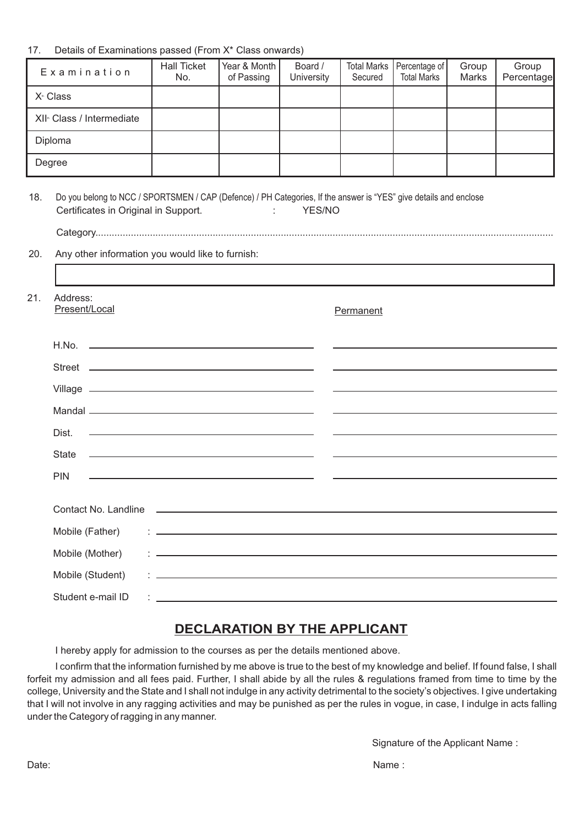#### 17. Details of Examinations passed (From X\* Class onwards)

| Examination                           | <b>Hall Ticket</b><br>No. | Year & Month<br>of Passing | Board /<br>University | Secured | Total Marks   Percentage of  <br><b>Total Marks</b> | Group<br>Marks | Group<br>Percentage |
|---------------------------------------|---------------------------|----------------------------|-----------------------|---------|-----------------------------------------------------|----------------|---------------------|
| X <sup>th</sup> Class                 |                           |                            |                       |         |                                                     |                |                     |
| XII <sup>®</sup> Class / Intermediate |                           |                            |                       |         |                                                     |                |                     |
| Diploma                               |                           |                            |                       |         |                                                     |                |                     |
| Degree                                |                           |                            |                       |         |                                                     |                |                     |

| 18. | Certificates in Original in Support.             | Do you belong to NCC / SPORTSMEN / CAP (Defence) / PH Categories, If the answer is "YES" give details and enclose<br>$1 - 1$<br>YES/NO |  |
|-----|--------------------------------------------------|----------------------------------------------------------------------------------------------------------------------------------------|--|
|     |                                                  |                                                                                                                                        |  |
| 20. | Any other information you would like to furnish: |                                                                                                                                        |  |
|     |                                                  |                                                                                                                                        |  |
| 21. | Address:<br>Present/Local                        | Permanent                                                                                                                              |  |
|     |                                                  |                                                                                                                                        |  |
|     |                                                  | <u> 1989 - Johann Barn, fransk politik amerikansk politik (d. 1989)</u>                                                                |  |
|     |                                                  |                                                                                                                                        |  |
|     |                                                  |                                                                                                                                        |  |
|     | Dist.                                            |                                                                                                                                        |  |
|     |                                                  |                                                                                                                                        |  |
|     | <b>PIN</b>                                       |                                                                                                                                        |  |
|     |                                                  |                                                                                                                                        |  |
|     | Mobile (Father)                                  |                                                                                                                                        |  |
|     | Mobile (Mother)                                  | <u> 1 januari - Januari Lander, martin basera eta batean eta batean eta batean eta batean eta batean erroman err</u>                   |  |
|     | Mobile (Student)                                 | the contract of the contract of the contract of the contract of the contract of the contract of the contract of                        |  |
|     | Student e-mail ID                                | <u> 1986 - Johann John Stein, fransk politiker (d. 1987)</u>                                                                           |  |

### **DECLARATION BY THE APPLICANT**

I hereby apply for admission to the courses as per the details mentioned above.

I confirm that the information furnished by me above is true to the best of my knowledge and belief. If found false, I shall forfeit my admission and all fees paid. Further, I shall abide by all the rules & regulations framed from time to time by the college, University and the State and I shall not indulge in any activity detrimental to the society's objectives. I give undertaking that I will not involve in any ragging activities and may be punished as per the rules in vogue, in case, I indulge in acts falling under the Category of ragging in any manner.

Signature of the Applicant Name :